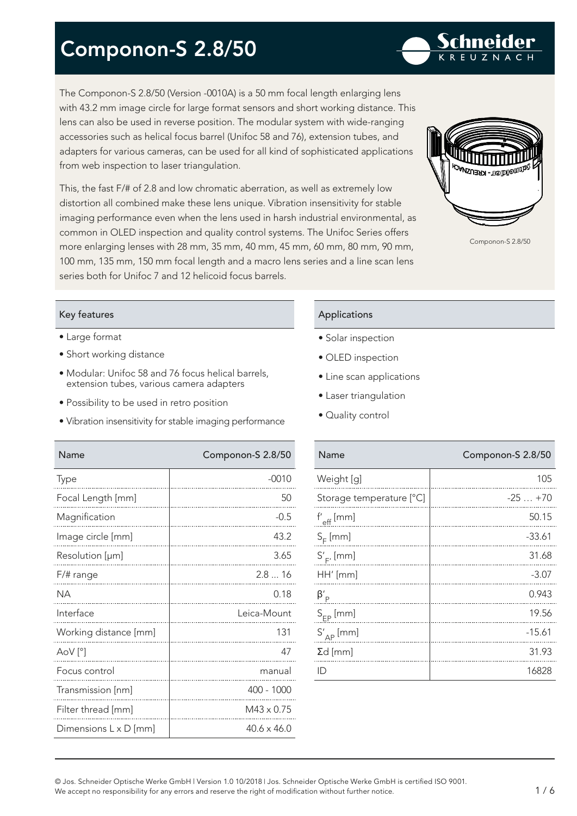The Componon-S 2.8/50 (Version -0010A) is a 50 mm focal length enlarging lens with 43.2 mm image circle for large format sensors and short working distance. This lens can also be used in reverse position. The modular system with wide-ranging accessories such as helical focus barrel (Unifoc 58 and 76), extension tubes, and adapters for various cameras, can be used for all kind of sophisticated applications from web inspection to laser triangulation.

This, the fast F/# of 2.8 and low chromatic aberration, as well as extremely low distortion all combined make these lens unique. Vibration insensitivity for stable imaging performance even when the lens used in harsh industrial environmental, as common in OLED inspection and quality control systems. The Unifoc Series offers more enlarging lenses with 28 mm, 35 mm, 40 mm, 45 mm, 60 mm, 80 mm, 90 mm, 100 mm, 135 mm, 150 mm focal length and a macro lens series and a line scan lens series both for Unifoc 7 and 12 helicoid focus barrels.

### Key features

- Large format
- Short working distance
- Modular: Unifoc 58 and 76 focus helical barrels, extension tubes, various camera adapters
- Possibility to be used in retro position
- Vibration insensitivity for stable imaging performance

Name Componon-S 2.8/50 Name Componon-S 2.8/50

### Applications

- Solar inspection
- OLED inspection
- Line scan applications
- Laser triangulation
- Quality control

| Name                     | Componon-S 2.8/50 |
|--------------------------|-------------------|
| Weight [g]               | 105               |
| Storage temperature [°C] | $-25+70$          |
| $f'_{eff}$ [mm]          | 50.15             |
| $S_F$ [mm]               | $-33.61$          |
| $S'_{F'}$ [mm]           | 31.68             |
| HH' [mm]                 | $-3.07$           |
| $\beta'_{\rm p}$         | 0.943             |
| $S_{FP}$ [mm]            | 19.56             |
| $S'_{AP}$ [mm]           | $-15.61$          |
| $\Sigma d$ [mm]          | 31.93             |
| ID                       | 16828             |
|                          |                   |

| Type                  | $-0010$            |
|-----------------------|--------------------|
| Focal Length [mm]     | 50                 |
| Magnification         | $-0.5$             |
| Image circle [mm]     | 43.2               |
| Resolution [µm]       | 3.65               |
| F/# range             | 2.816              |
| <b>NA</b>             | 0.18               |
| Interface             | Leica-Mount        |
| Working distance [mm] | 131                |
| $AoV[^{\circ}]$       | 47                 |
| Focus control         | manual             |
| Transmission [nm]     | 400 - 1000         |
| Filter thread [mm]    | $M43 \times 0.75$  |
| Dimensions L x D [mm] | $40.6 \times 46.0$ |
|                       |                    |





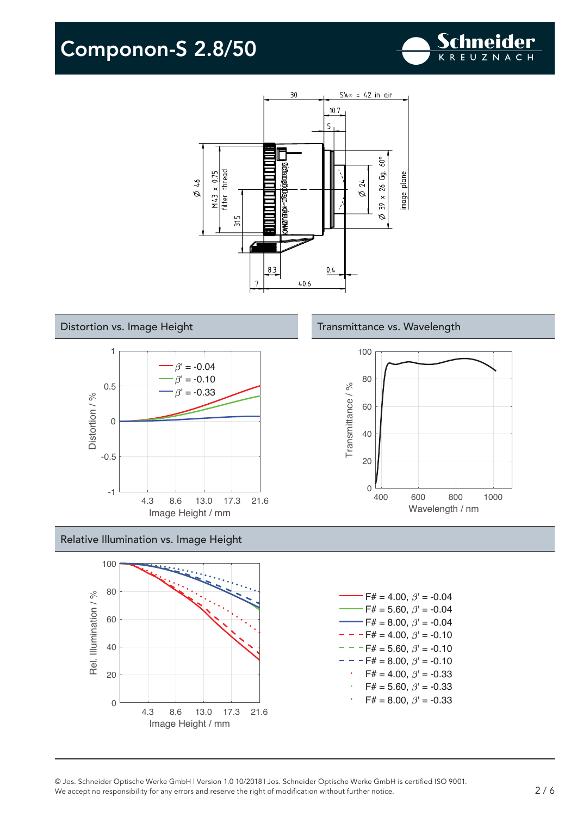









#### © Jos. Schneider Optische Werke GmbH | Version 1.0 10/2018 | Jos. Schneider Optische Werke GmbH is certified ISO 9001. We accept no responsibility for any errors and reserve the right of modification without further notice. 2 / 6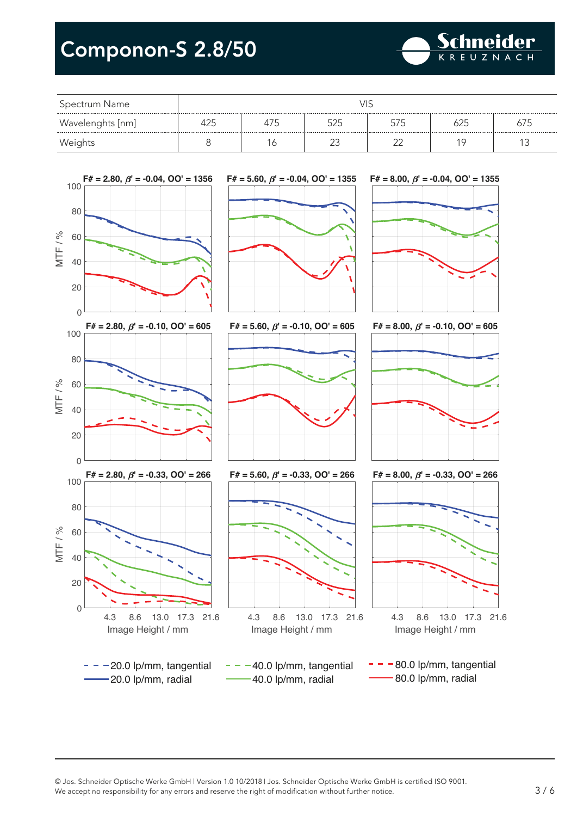

| Spectrum Name    |  |  |  |  |  |  |
|------------------|--|--|--|--|--|--|
| Wavelenghts [nm] |  |  |  |  |  |  |
| Weights          |  |  |  |  |  |  |

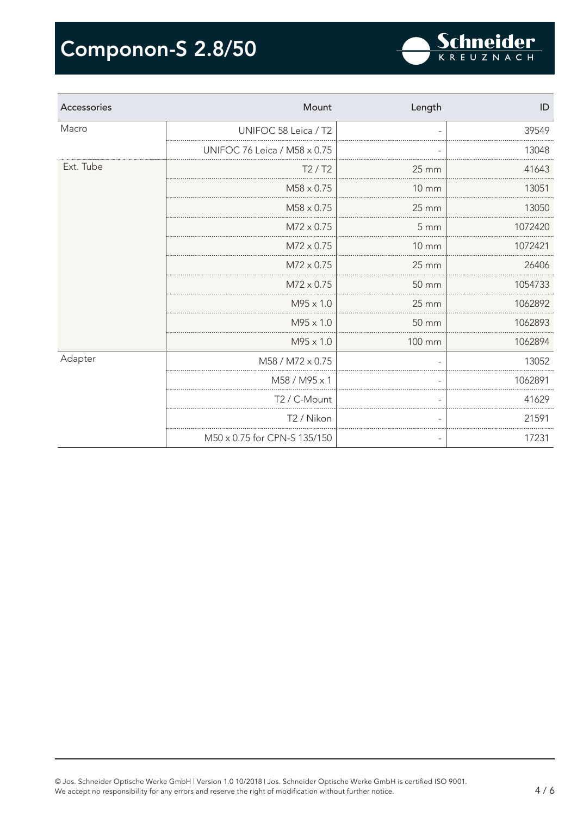| Accessories | Mount                        | Length            | ID      |
|-------------|------------------------------|-------------------|---------|
| Macro       | UNIFOC 58 Leica / T2         |                   | 39549   |
|             | UNIFOC 76 Leica / M58 x 0.75 |                   | 13048   |
| Ext. Tube   | T2/T2                        | 25 mm             | 41643   |
|             | $M58 \times 0.75$            | $10 \, \text{mm}$ | 13051   |
|             | $M58 \times 0.75$            | 25 mm             | 13050   |
|             | $M72 \times 0.75$            | 5 mm              | 1072420 |
|             | $M72 \times 0.75$            | <b>10 mm</b>      | 1072421 |
|             | $M72 \times 0.75$            | $25 \, \text{mm}$ | 26406   |
|             | $M72 \times 0.75$            | 50 mm             | 1054733 |
|             | $M95 \times 1.0$             | $25 \, \text{mm}$ | 1062892 |
|             | M95 x 1.0                    | 50 mm             | 1062893 |
|             | M95 x 1.0                    | 100 mm            | 1062894 |
| Adapter     | M58 / M72 x 0.75             |                   | 13052   |
|             | M58 / M95 x 1                |                   | 1062891 |
|             | T2 / C-Mount                 |                   | 41629   |
|             | T <sub>2</sub> / Nikon       |                   | 21591   |
|             | M50 x 0.75 for CPN-S 135/150 |                   | 17231   |

Schneider